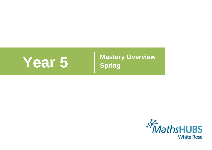**Year 5** Mastery Overview **Spring** 

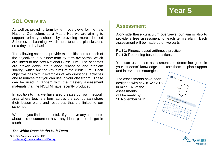### **SOL Overview**

As well as providing term by term overviews for the new National Curriculum, as a Maths Hub we are aiming to support primary schools by providing more detailed Schemes of Learning, which help teachers plan lessons on a day to day basis.

The following schemes provide exemplification for each of the objectives in our new term by term overviews, which are linked to the new National Curriculum. The schemes are broken down into fluency, reasoning and problem solving, which are the key aims of the curriculum. Each objective has with it examples of key questions, activities and resources that you can use in your classroom. These can be used in tandem with the mastery assessment materials that the NCETM have recently produced.

In addition to this we have also creates our own network area where teachers form across the country can share their lesson plans and resources that are linked to our schemes.

We hope you find them useful. If you have any comments about this document or have any ideas please do get in touch.

### *The White Rose Maths Hub Team*

© Trinity Academy Halifax 2015 [mathshub@trinityacademyhalifax.org](mailto:mathshub@trinitYACADEMYHALIFAX.ORG)

### **Assessment**

Alongside these curriculum overviews, our aim is also to provide a free assessment for each term's plan. Each assessment will be made up of two parts:

**Part 1: Fluency based arithmetic practice Part 2: Reasoning based questions** 

You can use these assessments to determine gaps in your students' knowledge and use them to plan support and intervention strategies.

units with your and

The assessments have been designed with new KS2 SATS in mind. All of the assessments will be ready by 30 November 2015.

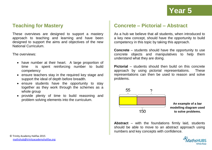### **Teaching for Mastery**

These overviews are designed to support a mastery approach to teaching and learning and have been designed to support the aims and objectives of the new National Curriculum.

The overviews:

- have number at their heart. A large proportion of time is spent reinforcing number to build competency
- ensure teachers stay in the required key stage and support the ideal of depth before breadth.
- ensure students have the opportunity to stay together as they work through the schemes as a whole group
- provide plenty of time to build reasoning and problem solving elements into the curriculum.

### **Concrete – Pictorial – Abstract**

As a hub we believe that all students, when introduced to a key new concept, should have the opportunity to build competency in this topic by taking this approach.

**Concrete** – students should have the opportunity to use concrete objects and manipulatives to help them understand what they are doing.

**Pictorial** – students should then build on this concrete approach by using pictorial representations. These representations can then be used to reason and solve problems.



**An example of a bar modelling diagram used to solve problems.**

**Abstract** – with the foundations firmly laid, students should be able to move to an abstract approach using numbers and key concepts with confidence.

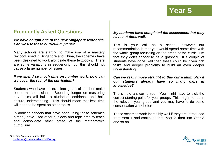### **Frequently Asked Questions**

### *We have bought one of the new Singapore textbooks. Can we use these curriculum plans?*

Many schools are starting to make use of a mastery textbook used in Singapore and China, the schemes have been designed to work alongside these textbooks. There are some variations in sequencing, but this should not cause a large number of issues.

### *If we spend so much time on number work, how can we cover the rest of the curriculum?*

Students who have an excellent grasp of number make better mathematicians. Spending longer on mastering key topics will build a student's confidence and help secure understanding. This should mean that less time will need to be spent on other topics.

In addition schools that have been using these schemes already have used other subjects and topic time to teach and consolidate other areas of the mathematics curriculum.

### *My students have completed the assessment but they have not done well.*

This is your call as a school, however our recommendation is that you would spend some time with the whole group focussing on the areas of the curriculum that they don't appear to have grasped. If a couple of students have done well then these could be given rich tasks and deeper problems to build an even deeper understanding.

### *Can we really move straight to this curriculum plan if our students already have so many gaps in knowledge?*

The simple answer is yes. You might have to pick the correct starting point for your groups. This might not be in the relevant year group and you may have to do some consolidation work before.

These schemes work incredibly well if they are introduced from Year 1 and continued into Year 2, then into Year 3 and so on.

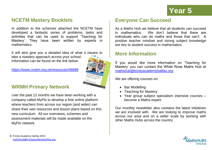

### **NCETM Mastery Booklets**

In addition to the schemes attached the NCETM have developed a fantastic series of problems, tasks and activities that can be used to support 'Teaching for Mastery'. They have been written by experts in mathematics.

It will also give you a detailed idea of what it means to take a mastery approach across your school. Information can be found on the link below.

<https://www.ncetm.org.uk/resources/46689>



### **WRMH Primary Network**

Over the past 12 months we have been working with a company called MyFlo to develop a free online platform where teachers from across our region (and wider) can share their own resources and lesson plans based on this new curriculum. All our overviews, schemes and assessment materials will be made available on the MyFlo network.

### **Everyone Can Succeed**

As a Maths Hub we believe that all students can succeed in mathematics. We don't believe that there are individuals who can do maths and those that can't. A positive teacher mindset and strong subject knowledge are key to student success in mathematics.

### **More Information**

If you would like more information on 'Teaching for Mastery' you can contact the White Rose Maths Hub at [mathshub@trinityacademyhalifax.org](mailto:mathshub@trinityacademyhalifax.org)

We are offering courses on:

- Bar Modelling
- Teaching for Mastery
- Year group subject specialism intensive courses become a Maths expert.

Our monthly newsletter also contains the latest initiatives we are involved with. We are looking to improve maths across our area and on a wider scale by working with other Maths Hubs across the country.

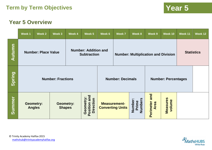### **Year 5 Overview**

|        | Week 1                                                                          | Week 2 | Week 3                                     | Week 4                            | Week 5                                           | Week 6              | Week 7                  | Week 8                             | Week 9                          | Week 10                   | Week 11 | Week 12 |
|--------|---------------------------------------------------------------------------------|--------|--------------------------------------------|-----------------------------------|--------------------------------------------------|---------------------|-------------------------|------------------------------------|---------------------------------|---------------------------|---------|---------|
| Autumn | <b>Number: Addition and</b><br><b>Number: Place Value</b><br><b>Subtraction</b> |        | <b>Number: Multiplication and Division</b> |                                   |                                                  | <b>Statistics</b>   |                         |                                    |                                 |                           |         |         |
| Spring | <b>Number: Fractions</b>                                                        |        |                                            | <b>Number: Decimals</b>           |                                                  |                     |                         | <b>Number: Percentages</b>         |                                 |                           |         |         |
| Summer | <b>Geometry:</b><br><b>Angles</b>                                               |        |                                            | <b>Geometry:</b><br><b>Shapes</b> | and<br>Geometry:<br><b>Direction</b><br>Position | <b>Measurement-</b> | <b>Converting Units</b> | <b>Numbers</b><br>Number:<br>Prime | and<br>Perimeter<br><b>Area</b> | <b>Measures</b><br>volume |         |         |

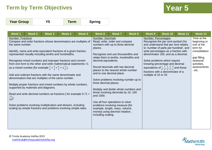| <b>Year Group</b> |  | Term | <b>Spring</b> |
|-------------------|--|------|---------------|
|-------------------|--|------|---------------|

| Week 1                                                             | Week 2                               | Week 3                                                                                      | Week 4                                                                                                                                                                                                                                                                                                                                                                                                                                                                                                                                                                                                                                                                                                                           | Week <sub>5</sub> | Week 6                                                                                                                 | <b>Week 7</b>                                                                                                                                                                                                                                                                                                                                                                                                                                                                                                              | Week 8 | Week 9                                      | Week 10                                                                                                                                                                                                                                                                                                                                                                                                           | Week 11 | Week 12                                                                                                                                    |
|--------------------------------------------------------------------|--------------------------------------|---------------------------------------------------------------------------------------------|----------------------------------------------------------------------------------------------------------------------------------------------------------------------------------------------------------------------------------------------------------------------------------------------------------------------------------------------------------------------------------------------------------------------------------------------------------------------------------------------------------------------------------------------------------------------------------------------------------------------------------------------------------------------------------------------------------------------------------|-------------------|------------------------------------------------------------------------------------------------------------------------|----------------------------------------------------------------------------------------------------------------------------------------------------------------------------------------------------------------------------------------------------------------------------------------------------------------------------------------------------------------------------------------------------------------------------------------------------------------------------------------------------------------------------|--------|---------------------------------------------|-------------------------------------------------------------------------------------------------------------------------------------------------------------------------------------------------------------------------------------------------------------------------------------------------------------------------------------------------------------------------------------------------------------------|---------|--------------------------------------------------------------------------------------------------------------------------------------------|
| <b>Number: Fractions</b><br>the same number.<br>$\frac{71}{100}$ . | supported by materials and diagrams. | as a mixed number [for example $\frac{2}{5} + \frac{4}{5} = \frac{6}{5} = 1 \frac{1}{5}$ ]. | Compare and order fractions whose denominators are multiples of<br>Identify, name and write equivalent fractions of a given fraction,<br>represented visually including tenths and hundredths.<br>Recognise mixed numbers and improper fractions and convert<br>from one form to the other and write mathematical statements >1<br>Add and subtract fractions with the same denominator and<br>denominators that are multiples of the same number.<br>Multiply proper fractions and mixed numbers by whole numbers,<br>Read and write decimal numbers as fractions $[$ for example 0.71 =<br>Solve problems involving multiplication and division, including<br>scaling by simple fractions and problems involving simple rates. |                   | <b>Number: Decimals</b><br>places.<br>decimal equivalents.<br>three decimal places.<br>and 1000.<br>including scaling. | Read, write, order and compare<br>numbers with up to three decimal<br>Recognise and use thousandths and<br>relate them to tenths, hundredths and<br>Round decimals with two decimal<br>places to the nearest whole number<br>and to one decimal place.<br>Solve problems involving number up to<br>Multiply and divide whole numbers and<br>those involving decimals by 10, 100<br>Use all four operations to solve<br>problems involving measure [for<br>example, length, mass, volume,<br>money] using decimal notation, |        | Number: Percentages<br>multiple of 10 or 25 | Recognise the per cent symbol (%)<br>and understand that per cent relates<br>to 'number of parts per hundred', and<br>write percentages as a fraction with<br>denominator 100, and as a decimal.<br>Solve problems which require<br>knowing percentage and decimal<br>equivalents of $\frac{1}{2}$ , $\frac{1}{4}$ , $\frac{1}{5}$ , $\frac{2}{5}$ , $\frac{4}{5}$ and those<br>fractions with a denominator of a |         | Time at the<br>beginning or<br>end of the<br>term for<br>consolidation<br>gap filling,<br>seasonal<br>activities,<br>assessments<br>, etc. |

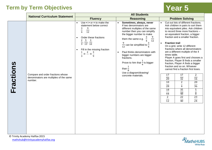|           | <b>National Curriculum Statement</b>                                                   | <b>All Students</b>                                                                                                                                                                                                                                                       |                                                                                                                                                                                                                                                                                                                                                                                                                                                               |                                                                                                                                                                                                                                                                                                                                                                                                                                                                                                                                                                                                                                                                                                                                                                                                                                                                                                                                    |  |  |  |  |  |
|-----------|----------------------------------------------------------------------------------------|---------------------------------------------------------------------------------------------------------------------------------------------------------------------------------------------------------------------------------------------------------------------------|---------------------------------------------------------------------------------------------------------------------------------------------------------------------------------------------------------------------------------------------------------------------------------------------------------------------------------------------------------------------------------------------------------------------------------------------------------------|------------------------------------------------------------------------------------------------------------------------------------------------------------------------------------------------------------------------------------------------------------------------------------------------------------------------------------------------------------------------------------------------------------------------------------------------------------------------------------------------------------------------------------------------------------------------------------------------------------------------------------------------------------------------------------------------------------------------------------------------------------------------------------------------------------------------------------------------------------------------------------------------------------------------------------|--|--|--|--|--|
|           |                                                                                        | <b>Fluency</b>                                                                                                                                                                                                                                                            | <b>Reasoning</b>                                                                                                                                                                                                                                                                                                                                                                                                                                              | <b>Problem Solving</b>                                                                                                                                                                                                                                                                                                                                                                                                                                                                                                                                                                                                                                                                                                                                                                                                                                                                                                             |  |  |  |  |  |
| Fractions | Compare and order fractions whose<br>denominators are multiples of the same<br>number. | Use $\lt$ > or = to make the<br>statement below correct<br>3<br>9<br>$\frac{1}{4}$<br>$\overline{12}$<br>Order these fractions<br>$5 \quad 3$<br>$\frac{1}{5}$ , $\frac{1}{15}$ , $\frac{1}{10}$<br>Fill in the missing fraction<br>$\frac{2}{\phantom{0}} = \frac{3}{9}$ | Sometimes, always, never<br>If two denominators are<br>different multiples of the same<br>number then you can simplify<br>the bigger number to make<br>$\frac{9}{12}$<br>them the same e.g.<br>$\frac{9}{12}$ can be simplified to $\frac{3}{4}$<br>Paul thinks denominators with<br>$\bullet$<br>bigger numbers are bigger<br>fractions.<br>Prove to him that $\frac{1}{4}$ is bigger<br>than $\frac{1}{8}$<br>Use a diagram/drawing/<br>concrete materials. | Cut out lots of different fractions.<br>$\bullet$<br>Ask children in pairs to sort them<br>into equivalent piles. Ask children<br>to record three more fractions -<br>an equivalent fraction, a bigger<br>fraction and a smaller fraction.<br><b>Fraction trail</b><br>$\bullet$<br>On a grid, write 12 different<br>fractions where all denominators<br>are a different multiple of the 4<br>times table.<br>Player A goes first and chooses a<br>fraction, Player B finds a smaller<br>fraction, Player A finds a bigger<br>fraction and so on. Whoever<br>cannot find a fraction first loses.<br>17<br>17<br>2<br>$\overline{20}$<br>$\overline{16}$<br>$\overline{32}$<br>20<br>$\overline{2}$<br>10<br>$\overline{\mathbf{4}}$<br>$\overline{28}$<br>$\overline{36}$<br>18<br>35<br>$\frac{5}{8}$<br>$\frac{1}{44}$<br>$\overline{48}$<br>22<br>23<br>$\overline{2}$<br>$\overline{12}$<br>$\overline{40}$<br>$\overline{24}$ |  |  |  |  |  |

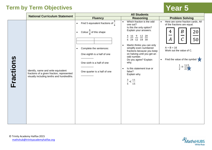|           | <b>National Curriculum Statement</b>                                                                                           | <b>All Students</b>                                                                                                                                                                                                                  |                                                                                                                                                                                                                                                                                                                                                                                                                               |                                                                                                                                                                                                                                                                           |  |  |  |  |
|-----------|--------------------------------------------------------------------------------------------------------------------------------|--------------------------------------------------------------------------------------------------------------------------------------------------------------------------------------------------------------------------------------|-------------------------------------------------------------------------------------------------------------------------------------------------------------------------------------------------------------------------------------------------------------------------------------------------------------------------------------------------------------------------------------------------------------------------------|---------------------------------------------------------------------------------------------------------------------------------------------------------------------------------------------------------------------------------------------------------------------------|--|--|--|--|
|           |                                                                                                                                | <b>Fluency</b>                                                                                                                                                                                                                       | <b>Reasoning</b>                                                                                                                                                                                                                                                                                                                                                                                                              | <b>Problem Solving</b>                                                                                                                                                                                                                                                    |  |  |  |  |
| Fractions | Identify, name and write equivalent<br>fractions of a given fraction, represented<br>visually including tenths and hundredths. | Find 5 equivalent fractions of $\frac{3}{4}$<br>Colour $\frac{6}{8}$ of this shape<br>$\bullet$<br>Complete the sentences:<br>$\bullet$<br>One eighth is a half of one<br>One sixth is a half of one<br>One quarter is a half of one | Which fraction is the odd<br>$\bullet$<br>one out?<br>Is this the only option?<br>Explain your answers.<br>4 16 9 12 20<br>6 24 12 18 30<br>Martin thinks you can only<br>$\bullet$<br>simplify even numbered<br>fractions because you keep<br>on halving until you get an<br>odd number.<br>Do you agree? Explain<br>why.<br>Is this statement true or<br>$\bullet$<br>false?<br>Explain why.<br>$\frac{3}{5}<\frac{11}{15}$ | Here are some fraction cards. All<br>$\bullet$<br>of the fractions are equal.<br>$\boldsymbol{B}$<br>4<br>20<br>$\mathcal C$<br>50<br>$\bm{A}$<br>$A + B = 16$<br>Work out the value of C.<br>Find the value of the symbol<br>$\bullet$<br>$\frac{1}{2} = \frac{1+5}{2+}$ |  |  |  |  |

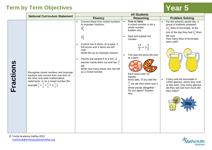|           | <b>National Curriculum Statement</b>                                                                                                                                                                                             | <b>All Students</b>                                                                                                                                                                                                                                     |                                                                                                                                                                                                                                                                      |                                                                                                                                                                                                                        |  |  |  |  |
|-----------|----------------------------------------------------------------------------------------------------------------------------------------------------------------------------------------------------------------------------------|---------------------------------------------------------------------------------------------------------------------------------------------------------------------------------------------------------------------------------------------------------|----------------------------------------------------------------------------------------------------------------------------------------------------------------------------------------------------------------------------------------------------------------------|------------------------------------------------------------------------------------------------------------------------------------------------------------------------------------------------------------------------|--|--|--|--|
|           |                                                                                                                                                                                                                                  | <b>Fluency</b>                                                                                                                                                                                                                                          | <b>Reasoning</b>                                                                                                                                                                                                                                                     | <b>Problem Solving</b>                                                                                                                                                                                                 |  |  |  |  |
|           |                                                                                                                                                                                                                                  | Convert these from mixed numbers<br>to improper fractions:<br>$3\frac{2}{5}$<br>$2\frac{1}{6}$<br>A pizza has 8 slices. At a party, 2                                                                                                                   | True or false<br>$\bullet$<br>A mixed number is not a<br>whole number.<br>Explain why.<br>Spot and explain the<br>mistake                                                                                                                                            | For the school's sports day, a<br>group of students prepared<br>$21\frac{1}{3}$ litres of lemonade. At the<br>end of the day they had $2\frac{5}{8}$ litres<br>left over.<br>How many litres of lemonade<br>were sold? |  |  |  |  |
| Fractions | Recognise mixed numbers and improper<br>fractions and convert from one form to<br>the other and write mathematical<br>statements >1 as a mixed number [for<br>example $\frac{2}{5} + \frac{4}{5} = \frac{6}{5} = 1\frac{1}{5}$ . | full pizzas and 3 slices are left<br>over.<br>Write this as an improper fraction.<br>Pencils are packed 6 to a box. A<br>$\bullet$<br>teacher hands them out and has $\frac{15}{6}$<br>left.<br>Write how many boxes she has left<br>as a mixed number. | $rac{13}{5} = 3\frac{3}{5}$<br>This was the pizza left over<br>$\bullet$<br>at a party.<br>Each pizza was cut<br>equally.<br>Anna said, "If you add the<br>11<br>$\frac{1}{r}$ we ate then there was 5<br>whole pizzas altogether."<br>Do you agree? Explain<br>why. | If they sold the lemonade in<br>125ml glasses, which they sold<br>at 30p each, how many glasses<br>did they sell and how much did<br>they make?                                                                        |  |  |  |  |



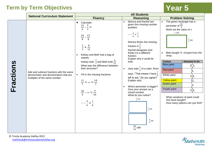|           | <b>National Curriculum Statement</b>                                                                               | <b>All Students</b>                                                                                                                                                                                                                                                                                                                                     |                                                                                                                                                                                                                                                                                                                                                                                                                                                                                                                                                                           |                                                                                                                                                                                                                                                                                                                                                                                                                                                                                                                                                          |  |  |  |
|-----------|--------------------------------------------------------------------------------------------------------------------|---------------------------------------------------------------------------------------------------------------------------------------------------------------------------------------------------------------------------------------------------------------------------------------------------------------------------------------------------------|---------------------------------------------------------------------------------------------------------------------------------------------------------------------------------------------------------------------------------------------------------------------------------------------------------------------------------------------------------------------------------------------------------------------------------------------------------------------------------------------------------------------------------------------------------------------------|----------------------------------------------------------------------------------------------------------------------------------------------------------------------------------------------------------------------------------------------------------------------------------------------------------------------------------------------------------------------------------------------------------------------------------------------------------------------------------------------------------------------------------------------------------|--|--|--|
|           |                                                                                                                    | <b>Fluency</b>                                                                                                                                                                                                                                                                                                                                          | <b>Reasoning</b>                                                                                                                                                                                                                                                                                                                                                                                                                                                                                                                                                          | <b>Problem Solving</b>                                                                                                                                                                                                                                                                                                                                                                                                                                                                                                                                   |  |  |  |
| Fractions | Add and subtract fractions with the same<br>denominator and denominators that are<br>multiples of the same number. | Calculate:<br>15 5<br>$=$<br>3<br>24 15<br>8<br>$\frac{2}{3} + \frac{8}{12}$<br>Kelsey and Beth had a bag of<br>sweets.<br>Kelsey took $\frac{2}{7}$ and Beth took $\frac{6}{21}$<br>What was the difference between<br>their amounts?<br>Fill in the missing fractions:<br>$\bullet$<br>18<br>$\overline{10}$<br>$\overline{5}$<br>$=\frac{1}{6}$<br>6 | Monica and Rachel are<br>$\bullet$<br>given this missing number<br>problem:<br>Monica thinks the missing<br>fraction is $\frac{3}{4}$<br>Rachel disagrees and<br>thinks it's a different<br>fraction.<br>Explain why it could be<br>both.<br>Joey eats $\frac{1}{3}$ of a cake. Ross<br>$\bullet$<br>says, "That means I have $\frac{7}{9}$<br>left to eat." Do you agree?<br>Explain why.<br>Which perimeter is bigger?<br>Give your answer as a<br>mixed number.<br>What do you notice?<br>$rac{2}{3}$ cm<br>$\frac{5}{8}$ cm<br>$\frac{4}{6}$ cm<br>$\frac{10}{16}$ cm | The green rectangle has a<br>$\bullet$<br>perimeter of $\frac{22}{4}$<br>Work out the value of x.<br>$x$ cm<br>$\frac{3}{4}$ cm<br>Beki bought 7L of paint from the<br>$\bullet$<br>shop.<br><b>Colour</b><br><b>Amount in tin</b><br><b>Blue</b> paint<br>$2\frac{1}{4}$ L<br><b>Red paint</b><br>$\frac{3}{2}$<br>White paint<br>$1\frac{1}{2}$<br>1 <sub>L</sub><br><b>Yellow paint</b><br>$\frac{1}{2}$ L<br>Green paint<br>Purple paint<br>$1\frac{3}{4}$ L<br>What variations of paint could<br>she have bought?<br>How many options can you find? |  |  |  |

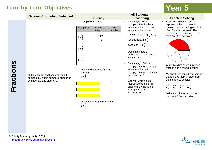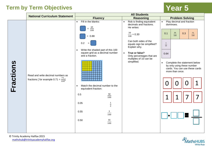|           | <b>National Curriculum Statement</b>                                                    | <b>All Students</b>                                                                                                                                       |                                                                                                                                                                                                                  |                                                                                                                                          |  |  |  |
|-----------|-----------------------------------------------------------------------------------------|-----------------------------------------------------------------------------------------------------------------------------------------------------------|------------------------------------------------------------------------------------------------------------------------------------------------------------------------------------------------------------------|------------------------------------------------------------------------------------------------------------------------------------------|--|--|--|
|           |                                                                                         | <b>Fluency</b>                                                                                                                                            | <b>Reasoning</b>                                                                                                                                                                                                 | <b>Problem Solving</b>                                                                                                                   |  |  |  |
|           |                                                                                         | • Fill in the blanks:<br>$=\frac{65}{100}$<br>$= 0.88$<br>0.2<br>$=$<br>Write the shaded part of this 100<br>$\bullet$<br>square grid as a decimal number | Rob is finding equivalent<br>$\bullet$<br>decimals and fractions.<br>He writes:<br>$\frac{30}{100}$ = 0.30<br>Can both sides of the<br>equals sign be simplified?<br>Explain why.<br>True or false?<br>$\bullet$ | Play decimal and fraction<br>$\bullet$<br>dominoes.<br>$\frac{30}{100}$<br>$\frac{75}{100}$<br>0.3<br>0.1<br>$\frac{1}{ }$<br>10<br>0.64 |  |  |  |
| Fractions | Read and write decimal numbers as<br>fractions [ for example 0.71 = $\frac{71}{100}$ ]. | and a fraction.<br>Match the decimal number to the<br>$\bullet$<br>equivalent fraction:                                                                   | Only percentages that are<br>multiples of 10 can be<br>simplified.                                                                                                                                               | Complete the statement below<br>$\bullet$<br>by only using these number<br>cards. You can use these cards<br>more than once.             |  |  |  |
|           |                                                                                         | 0.5<br>$\frac{50}{100}$                                                                                                                                   |                                                                                                                                                                                                                  |                                                                                                                                          |  |  |  |
|           |                                                                                         | $\frac{1}{2}$<br>0.05                                                                                                                                     |                                                                                                                                                                                                                  |                                                                                                                                          |  |  |  |
|           |                                                                                         | $\frac{5}{100}$<br>0.55                                                                                                                                   |                                                                                                                                                                                                                  |                                                                                                                                          |  |  |  |
|           |                                                                                         | $\frac{55}{100}$<br>0.50                                                                                                                                  |                                                                                                                                                                                                                  |                                                                                                                                          |  |  |  |



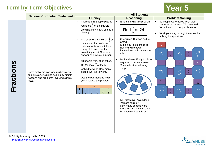|           | <b>National Curriculum Statement</b>                                                                                                      | <b>All Students</b>                                                                                                                                                                                                                                                                                                                                                                                                                                                                                                                                                                                                                    |                                                                                                                                                                                                                                                                                                                                                                                                                                                            |                                                                                                                                                                                                                                                                                                                                                                                                                                                                                                                                                                                             |  |  |  |  |
|-----------|-------------------------------------------------------------------------------------------------------------------------------------------|----------------------------------------------------------------------------------------------------------------------------------------------------------------------------------------------------------------------------------------------------------------------------------------------------------------------------------------------------------------------------------------------------------------------------------------------------------------------------------------------------------------------------------------------------------------------------------------------------------------------------------------|------------------------------------------------------------------------------------------------------------------------------------------------------------------------------------------------------------------------------------------------------------------------------------------------------------------------------------------------------------------------------------------------------------------------------------------------------------|---------------------------------------------------------------------------------------------------------------------------------------------------------------------------------------------------------------------------------------------------------------------------------------------------------------------------------------------------------------------------------------------------------------------------------------------------------------------------------------------------------------------------------------------------------------------------------------------|--|--|--|--|
|           |                                                                                                                                           | <b>Fluency</b>                                                                                                                                                                                                                                                                                                                                                                                                                                                                                                                                                                                                                         | <b>Reasoning</b>                                                                                                                                                                                                                                                                                                                                                                                                                                           | <b>Problem Solving</b>                                                                                                                                                                                                                                                                                                                                                                                                                                                                                                                                                                      |  |  |  |  |
| Fractions | Solve problems involving multiplication<br>and division, including scaling by simple<br>fractions and problems involving simple<br>rates. | There are 56 people playing<br>$\bullet$<br>rounders. $\frac{5}{8}$ of the players<br>are girls. How many girls are<br>playing?<br>In a class of 32 children, $\frac{3}{4}$ of<br>$\bullet$<br>them voted for maths as<br>their favourite subject. How<br>many children voted for<br>something else? Give your<br>answer as a whole number.<br>48 people work at an office.<br>$\bullet$<br>On Monday, $\frac{4}{6}$ of them<br>walked to work. How many<br>people walked to work?<br>Use the bar model to help<br>you visualise the problem.<br>48<br>$rac{1}{6}$<br>$\frac{1}{6}$<br>$rac{1}{6}$<br>$\overline{6}$<br>$\overline{6}$ | Ellie is solving this problem:<br>$\bullet$<br>Find $\frac{4}{6}$ of 24<br>She writes 16 down as the<br>answer.<br>Explain Ellie's mistake to<br>her and write down<br>instructions on how to solve<br>this.<br>Mr Patel asks Emily to circle<br>a quarter of some squares.<br>She circles the following<br>shapes.<br>Mr Patel says, "Well done!<br>You are correct!"<br>How many shapes were<br>there to start with? Explain<br>how you worked this out. | 90 people were asked what their<br>$\bullet$<br>favourite colour was. 75 chose red.<br>What fraction of people chose red?<br>Work your way through the maze by<br>$\bullet$<br>solving the questions.<br>S<br>$rac{2}{3}$ of<br>$2x_{6}^{4}$<br>$3x_9^2$<br>$\frac{8}{6}$<br>$\overline{q}$<br>45<br>$\frac{6}{6}$<br>$rac{5}{9}$<br>30 <sup>°</sup><br>$\frac{6}{7}$ of<br>$5x^3$<br>$4x\frac{5}{8}$<br>$\frac{20}{8}$<br>32 <sub>2</sub><br>42<br>$\frac{15}{5}$<br>$\frac{9}{32}$<br>36<br>$\frac{4}{10}+\frac{12}{20}$<br>$4x_{10}^{6}$<br>Finish<br>$\frac{10}{10}$<br>$\frac{24}{10}$ |  |  |  |  |

© Trinity Academy Halifax 2015 [mathshub@trinityacademyhalifax.org](mailto:mathshub@trinityacademyhalifax.org)

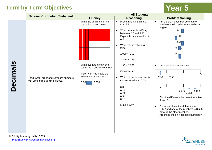|                 | <b>National Curriculum Statement</b>                                       | <b>All Students</b>                                                                                                                                                                                                                      |                                                                                                                                                                                                                                                                                                                                                                                                         |                                                                                                                                                                                                                                                                                                                                                                                                                                                    |  |  |  |  |
|-----------------|----------------------------------------------------------------------------|------------------------------------------------------------------------------------------------------------------------------------------------------------------------------------------------------------------------------------------|---------------------------------------------------------------------------------------------------------------------------------------------------------------------------------------------------------------------------------------------------------------------------------------------------------------------------------------------------------------------------------------------------------|----------------------------------------------------------------------------------------------------------------------------------------------------------------------------------------------------------------------------------------------------------------------------------------------------------------------------------------------------------------------------------------------------------------------------------------------------|--|--|--|--|
|                 |                                                                            | <b>Fluency</b>                                                                                                                                                                                                                           | <b>Reasoning</b>                                                                                                                                                                                                                                                                                                                                                                                        | <b>Problem Solving</b>                                                                                                                                                                                                                                                                                                                                                                                                                             |  |  |  |  |
| <b>Decimals</b> | Read, write, order and compare numbers<br>with up to three decimal places. | Write the decimal number<br>$\bullet$<br>that is illustrated below:<br>Write five and ninety-one<br>$\bullet$<br>tenths as a decimal number.<br>Insert $\lt$ or $\gt$ to make the<br>$\bullet$<br>statement below true.<br>0.006<br>0.06 | Prove that 8.9 is smaller<br>$\bullet$<br>than 9.8<br>What number is halfway<br>$\bullet$<br>between 2.7 and 3.4?<br>Explain how you worked it<br>out.<br>Which of the following is<br>$\bullet$<br>false?<br>1.009 < 1.09<br>1.249 > 1.25<br>1.35 > 1.053<br>Convince me!<br>Which of these numbers is<br>$\bullet$<br>closest in value to 0.2?<br>0.02<br>0.15<br>0.22<br>0.3<br>0.19<br>Explain why. | Put a digit in each box so that the<br>$\bullet$<br>numbers are in order from smallest to<br>largest.<br>6.1<br>.02<br>6.2<br>$6.$     2<br>6.<br>Here are two number lines.<br>7.38<br>7.58<br>B<br>$3.228$ $3.328$ $3.428$<br>Find the difference between the letters<br>A and B.<br>2 numbers have the difference of<br>$\bullet$<br>1.427 and one of the numbers is 3.665<br>What is the other number?<br>Are these the only possible numbers? |  |  |  |  |

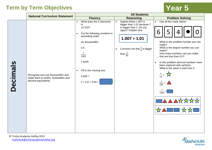|                 | <b>National Curriculum Statement</b>                                                               | <b>All Students</b>                                                                                                                                                                                                                                                  |                                                                                                                                                                                                                      |                                                                                                                                                                                                                                                                                                                                                                                                   |  |  |  |
|-----------------|----------------------------------------------------------------------------------------------------|----------------------------------------------------------------------------------------------------------------------------------------------------------------------------------------------------------------------------------------------------------------------|----------------------------------------------------------------------------------------------------------------------------------------------------------------------------------------------------------------------|---------------------------------------------------------------------------------------------------------------------------------------------------------------------------------------------------------------------------------------------------------------------------------------------------------------------------------------------------------------------------------------------------|--|--|--|
|                 |                                                                                                    | <b>Fluency</b>                                                                                                                                                                                                                                                       | <b>Reasoning</b>                                                                                                                                                                                                     | <b>Problem Solving</b>                                                                                                                                                                                                                                                                                                                                                                            |  |  |  |
| <b>Decimals</b> | Recognise and use thousandths and<br>relate them to tenths, hundredths and<br>decimal equivalents. | What does the 3 represent<br>$\bullet$<br>in<br>14.253?<br>Put the following numbers in<br>$\bullet$<br>ascending order:<br>six thousandths<br>0.5<br>$7\overline{ }$<br>1000<br>1 tenth<br>Fill in the missing box:<br>$\bullet$<br>$2.645 =$<br>$2 + 0.6 + 0.04 +$ | Sophie thinks 1.007 is<br>$\bullet$<br>bigger than 1.01 because 7<br>is bigger than 1. Do you<br>agree? Explain why.<br>1.007 > 1.01<br>Convince me that $\frac{1}{8}$ is bigger<br>$\bullet$<br>than $\frac{1}{80}$ | Use all five cards below:<br>$\bullet$<br>6<br>5<br>What is the smallest number you can<br>make?<br>What is the largest number you can<br>make?<br>How many numbers can you make<br>that are less than 0.5?<br>In this problem decimal numbers have<br>$\bullet$<br>been replaced with symbols.<br>What is the value in each box if:<br>$\frac{1}{10}$<br>$\frac{1}{100}$ =<br>$\frac{1}{1000}$ = |  |  |  |

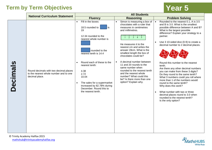|                 | <b>National Curriculum Statement</b>                                                               | <b>All Students</b>                                                                                                                                                                 |                                                                                                                                                                                                                                |                                                                                                                                                                                                                                                                                                                                                                                                                                    |
|-----------------|----------------------------------------------------------------------------------------------------|-------------------------------------------------------------------------------------------------------------------------------------------------------------------------------------|--------------------------------------------------------------------------------------------------------------------------------------------------------------------------------------------------------------------------------|------------------------------------------------------------------------------------------------------------------------------------------------------------------------------------------------------------------------------------------------------------------------------------------------------------------------------------------------------------------------------------------------------------------------------------|
|                 |                                                                                                    | <b>Fluency</b>                                                                                                                                                                      | <b>Reasoning</b>                                                                                                                                                                                                               | <b>Problem Solving</b>                                                                                                                                                                                                                                                                                                                                                                                                             |
|                 |                                                                                                    | Fill in the boxes:<br>$\bullet$<br>l is<br>18.5 rounded to<br>19<br>12.34 rounded to the<br>nearest whole number is                                                                 | Simon is measuring a box of<br>$\bullet$<br>chocolates with a ruler that<br>measures in centimetres<br>and millimetres.<br>$2 \t3 \t4 \t5$                                                                                     | Rounded to the nearest 0.1, A is 3.5<br>$\bullet$<br>and B is 3.0. What is the smallest<br>possible difference between A and B?<br>What is the largest possible<br>difference? Explain your strategy to a<br>partner.                                                                                                                                                                                                              |
|                 |                                                                                                    | rounded to the<br>nearest tenth is 14.4                                                                                                                                             | He measures it to the<br>nearest cm and writes the<br>answer 28cm. What is the<br>smallest length the box of<br>chocolates could be?                                                                                           | Use 3 10-sided dice (0-9) to create a<br>$\bullet$<br>decimal number to 2 decimal places.                                                                                                                                                                                                                                                                                                                                          |
| <b>Decimals</b> | Round decimals with two decimal places<br>to the nearest whole number and to one<br>decimal place. | Round each of these to the<br>nearest tenth:<br>4.38<br>2.72<br>10.04<br>The sales for a supermarket<br>increased by 82.78% during<br>December. Round this to<br>the nearest tenth. | A decimal number between<br>$\bullet$<br>11 and 20 rounds to the<br>same number when<br>rounded to the nearest tenth<br>and the nearest whole<br>number? What could this<br>be? Is there more than one<br>option? Explain why. | Round this number to the nearest<br>tenth.<br>Are there any other decimal numbers<br>you can make from these 3 digits?<br>Do they round to the same tenth?<br>What 3 numbers could you roll where<br>more than 1 of the numbers would<br>round to the same tenth?<br>Why does this work?<br>What number with two or three<br>$\bullet$<br>decimal places round to 3.0 when<br>rounded to the nearest tenth?<br>Is the only option? |

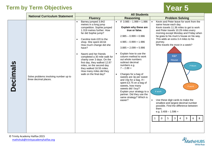|                 | <b>National Curriculum Statement</b>                           | <b>All Students</b>                                                                                                                                                                                                                                                                                                                                                                                                                                                                                  |                                                                                                                                                                                                                                                                                                                                                                                                                                                                                                                                                    |                                                                                                                                                                                                                                                                                                                                                                                                                                                                                                                                                                                            |
|-----------------|----------------------------------------------------------------|------------------------------------------------------------------------------------------------------------------------------------------------------------------------------------------------------------------------------------------------------------------------------------------------------------------------------------------------------------------------------------------------------------------------------------------------------------------------------------------------------|----------------------------------------------------------------------------------------------------------------------------------------------------------------------------------------------------------------------------------------------------------------------------------------------------------------------------------------------------------------------------------------------------------------------------------------------------------------------------------------------------------------------------------------------------|--------------------------------------------------------------------------------------------------------------------------------------------------------------------------------------------------------------------------------------------------------------------------------------------------------------------------------------------------------------------------------------------------------------------------------------------------------------------------------------------------------------------------------------------------------------------------------------------|
|                 |                                                                | <b>Fluency</b>                                                                                                                                                                                                                                                                                                                                                                                                                                                                                       | <b>Reasoning</b>                                                                                                                                                                                                                                                                                                                                                                                                                                                                                                                                   | <b>Problem Solving</b>                                                                                                                                                                                                                                                                                                                                                                                                                                                                                                                                                                     |
| <b>Decimals</b> | Solve problems involving number up to<br>three decimal places. | Barney jumped 3.842<br>$\bullet$<br>metres in a long jump<br>competition. Sophie jumped<br>1.319 metres further. How<br>far did Sophie jump?<br>Caroline took £20 to the<br>$\bullet$<br>shop. She spent £8.64<br>How much change did she<br>have?<br>Naomi and her friends<br>$\bullet$<br>completed a 30 mile walk for<br>charity over 3 days. On the<br>first day, they walked 12.87<br>miles, on the second day<br>they walked 16.55 miles.<br>How many miles did they<br>walk on the final day? | If $3.985 - 1.999 = 1.986$<br>$\bullet$<br>Explain why these are<br>true or false.<br>$2.985 - 0.999 = 0.986$<br>$4.985 - 0.999 = 1.986$<br>$3.885 + 2.099 = 5.986$<br>Explain how to use the<br>column method to work<br>out whole numbers<br>subtract decimal<br>numbers e.g.<br>$7 - 2.89 =$<br>Charges for a bag of<br>sweets are 3p per sweet<br>and 15p for a bag. If I<br>spent £3.75 on a bag of<br>sweets, how many<br>sweets did I buy?<br>Explain your strategy to a<br>partner. Did they use the<br>same strategy? Which is<br>easier? | Kevin and Peter leave for work from the<br>same house each day.<br>Kevin travels 11.36 miles to get to work<br>and Peter travels 10.29 miles every<br>morning except Monday and Friday when<br>he goes to his mum's house on his way.<br>This adds an extra 3.4 miles to his<br>journey.<br>Who travels the most in a week?<br>K&P<br>House<br>P Mum<br>P work<br>K work<br>Use these digit cards to make the<br>smallest and largest decimal number<br>possible. Find the difference between<br>them.<br>e.g. $3.408 - 1.596 =$<br>5<br>$\mathbf{3}$<br>6<br>$\Omega$<br>9<br>8<br>1<br>4 |

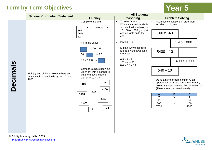|                 | <b>National Curriculum Statement</b>                                             | <b>All Students</b>                                                               |                                                                                  |                                                                                                                                                      |
|-----------------|----------------------------------------------------------------------------------|-----------------------------------------------------------------------------------|----------------------------------------------------------------------------------|------------------------------------------------------------------------------------------------------------------------------------------------------|
|                 |                                                                                  | <b>Fluency</b>                                                                    | <b>Reasoning</b>                                                                 | <b>Problem Solving</b>                                                                                                                               |
|                 |                                                                                  | Complete the grid:<br>$\bullet$<br>$\times 100$<br>$\div 1000$<br>x10             | True or false?<br>$\bullet$<br>When you multiply whole<br>and decimal numbers by | Put these calculations in order from<br>$\bullet$<br>smallest to biggest:                                                                            |
|                 |                                                                                  | 365<br>2669<br>12                                                                 | 10, 100 or 1000, you just<br>add noughts on to the<br>end.                       | 100 x 540                                                                                                                                            |
|                 |                                                                                  | Fill in the boxes:                                                                | If $5 \times 4 = 20$<br>$\bullet$                                                | 5.4 x 1000                                                                                                                                           |
|                 |                                                                                  | $\times$ 100 = 38<br>56<br>$= 5.6$                                                | Explain why these facts<br>are true without working<br>them out:                 | $5400 \div 10$                                                                                                                                       |
|                 |                                                                                  | $0.8 \times 1000$<br>$=$                                                          | $0.5 \times 4 = 2$<br>$200 \div 4 = 50$<br>$0.4 \times 0.5 = 0.2$                | $5400 \div 1000$                                                                                                                                     |
|                 | Multiply and divide whole numbers and<br>those involving decimals by 10, 100 and | Some facts have been cut<br>up. Work with a partner to<br>put them back together. |                                                                                  | $540 \div 10$                                                                                                                                        |
| <b>Decimals</b> | 1000.                                                                            | e.g. $74 \div 10 = 7.4$<br>31<br>100<br>$\times 100$<br>$\div 1000$               |                                                                                  | Using a number from column A, an<br>operation from B and a number from C,<br>how many ways can you find to make 70?<br>(There are more than 4 ways!) |
|                 |                                                                                  | 3100                                                                              |                                                                                  | $\, {\bf B}$<br>$\mathbf{C}$<br>A<br>X<br>$\overline{7}$<br>$\mathbf{1}$                                                                             |
|                 |                                                                                  | $= 0.031$<br>$\div 100$                                                           |                                                                                  | 70<br>10                                                                                                                                             |
|                 |                                                                                  | $= 1$                                                                             |                                                                                  | 700<br>100<br>$\div$<br>7000<br>1000                                                                                                                 |
|                 |                                                                                  | 31                                                                                |                                                                                  |                                                                                                                                                      |
|                 |                                                                                  |                                                                                   |                                                                                  |                                                                                                                                                      |
|                 |                                                                                  |                                                                                   |                                                                                  |                                                                                                                                                      |
|                 |                                                                                  |                                                                                   |                                                                                  |                                                                                                                                                      |

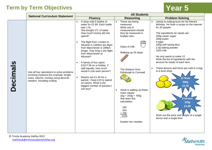|                 | <b>National Curriculum Statement</b>                                                                                                                       | <b>All Students</b>                                                                                                                                                                                                                                                                                                                                                                                                                                                                                                                                                                                      |                                                                                                                                                                                                                                                                                                                                                                                               |                                                                                                                                                                                                                                                                                                                                                                                                                                                                                                                                                                       |
|-----------------|------------------------------------------------------------------------------------------------------------------------------------------------------------|----------------------------------------------------------------------------------------------------------------------------------------------------------------------------------------------------------------------------------------------------------------------------------------------------------------------------------------------------------------------------------------------------------------------------------------------------------------------------------------------------------------------------------------------------------------------------------------------------------|-----------------------------------------------------------------------------------------------------------------------------------------------------------------------------------------------------------------------------------------------------------------------------------------------------------------------------------------------------------------------------------------------|-----------------------------------------------------------------------------------------------------------------------------------------------------------------------------------------------------------------------------------------------------------------------------------------------------------------------------------------------------------------------------------------------------------------------------------------------------------------------------------------------------------------------------------------------------------------------|
|                 |                                                                                                                                                            | <b>Fluency</b>                                                                                                                                                                                                                                                                                                                                                                                                                                                                                                                                                                                           | <b>Reasoning</b>                                                                                                                                                                                                                                                                                                                                                                              | <b>Problem Solving</b>                                                                                                                                                                                                                                                                                                                                                                                                                                                                                                                                                |
| <b>Decimals</b> | Use all four operations to solve problems<br>involving measure [for example, length,<br>mass, volume, money] using decimal<br>notation, including scaling. | A shop sold 6 bottles of<br>$\bullet$<br>water for £2.89. Each bottle<br>was 1.5L.<br>She bought 27L of water.<br>How much money did she<br>spend?<br>The flight from London to<br>$\bullet$<br>Alicante is 1465km the flight<br>from Manchester is 289km<br>longer. How long is the flight<br>from Manchester to<br>Alicante?<br>A family of four spent<br>$\bullet$<br>£1517.56 on a holiday. If<br>split equally, how much<br>would it cost each person?<br>Raisins are £1.45 for a<br>$\bullet$<br>packet. I have £10 to spend<br>on raisins. What is the<br>biggest number of packets I<br>can buy? | These are being<br>$\bullet$<br>measured.<br>What unit of<br>measurement should<br>they be measured in.<br>Explain why.<br>Glass of milk<br>Walking up 25 steps<br>The distance from<br><b>Edinburgh to Cornwall</b><br>Annie is adding up these<br>$\bullet$<br>mass values:<br>$1kg + 343g + 700g$<br>She does this<br>calculation:<br>100<br>343<br>$+700$<br>1143<br>Explain her mistake. | James is making buns for his friend's<br>birthday. He finds a recipe on the internet<br>for 20 people.<br>The ingredients he needs are:<br>200g caster sugar<br>200g butter<br>5 eggs<br>200g self-raising flour<br>2.5g baking powder<br>15ml milk<br>He only wants to make 12.<br>Write the list of ingredients with the<br>amount he needs of each item.<br>These lemons and limes are sold in a bag<br>in a local shop.<br>12 limes<br>900g<br>E2.40<br><b>6 lemons</b><br>520g<br>£1.00<br>Work out the price and Weight of a single<br>lemon and a single lime. |

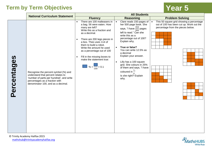|             | <b>National Curriculum Statement</b>                                                                                                                                                           | <b>All Students</b>                                                                                                                                                                                                                                                                                                                                                                                         |                                                                                                                                                                                                                                                                                                                                                                                                                                     |                                                                                                                                        |
|-------------|------------------------------------------------------------------------------------------------------------------------------------------------------------------------------------------------|-------------------------------------------------------------------------------------------------------------------------------------------------------------------------------------------------------------------------------------------------------------------------------------------------------------------------------------------------------------------------------------------------------------|-------------------------------------------------------------------------------------------------------------------------------------------------------------------------------------------------------------------------------------------------------------------------------------------------------------------------------------------------------------------------------------------------------------------------------------|----------------------------------------------------------------------------------------------------------------------------------------|
|             |                                                                                                                                                                                                | <b>Fluency</b>                                                                                                                                                                                                                                                                                                                                                                                              | <b>Reasoning</b>                                                                                                                                                                                                                                                                                                                                                                                                                    | <b>Problem Solving</b>                                                                                                                 |
| Percentages | Recognise the percent symbol (%) and<br>understand that percent relates to<br>'number of parts per hundred', and write<br>percentages as a fraction with<br>denominator 100, and as a decimal. | There are 100 malteasers in<br>$\bullet$<br>a bag. 56 were eaten. How<br>many are left?<br>Write this as a fraction and<br>as a decimal.<br>There are 200 lego pieces in<br>$\bullet$<br>a box. Theo uses 114 of<br>them to build a robot.<br>Write the amount he used<br>as a percentage out of 100<br>Fill in the missing boxes to<br>$\bullet$<br>make the statement true:<br>$\% = \frac{1}{100} = 0.1$ | Clare reads 150 pages of<br>her 500 page book. She<br>says, "I have $\frac{350}{500}$ pages<br>left to read." Can she<br>write this as a<br>percentage out of 100?<br>Explain why.<br>True or false?<br>You can write 12.5% as<br>a decimal<br>Explain your answer.<br>Lilly has a 100 square<br>$\bullet$<br>grid. She colours in 25%<br>of them and says, "I have<br>coloured in $\frac{1}{4}$ "<br>Is she right? Explain<br>why. | This 50 square grid showing a percentage<br>$\bullet$<br>out of 100 has been cut up. Work out the<br>percentage from the pieces below. |

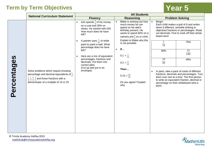|             |                                                                                                                                                                                                                                                                   | <b>All Students</b>                                                                                                                                                                                                                                                                                                                                                                                                    |                                                                                                                                                                                                                                                                                                                                                          |                                                                                                                                                                                                                                                                                                                                                                                                                                                                                                                                                                           |
|-------------|-------------------------------------------------------------------------------------------------------------------------------------------------------------------------------------------------------------------------------------------------------------------|------------------------------------------------------------------------------------------------------------------------------------------------------------------------------------------------------------------------------------------------------------------------------------------------------------------------------------------------------------------------------------------------------------------------|----------------------------------------------------------------------------------------------------------------------------------------------------------------------------------------------------------------------------------------------------------------------------------------------------------------------------------------------------------|---------------------------------------------------------------------------------------------------------------------------------------------------------------------------------------------------------------------------------------------------------------------------------------------------------------------------------------------------------------------------------------------------------------------------------------------------------------------------------------------------------------------------------------------------------------------------|
|             |                                                                                                                                                                                                                                                                   | <b>Fluency</b>                                                                                                                                                                                                                                                                                                                                                                                                         | <b>Reasoning</b>                                                                                                                                                                                                                                                                                                                                         | <b>Problem Solving</b>                                                                                                                                                                                                                                                                                                                                                                                                                                                                                                                                                    |
| Percentages | <b>National Curriculum Statement</b><br>Solve problems which require knowing<br>percentage and decimal equivalents of $\frac{1}{2}$ ,<br>$\frac{1}{4}, \frac{1}{5}, \frac{2}{5}, \frac{4}{5}$ and those fractions with a<br>denominator of a multiple of 10 or 25 | Ash spends $\frac{3}{5}$ of his money<br>$\bullet$<br>on a coat and 30% on<br>shoes. He started with £55.<br>How much does he have<br>left?<br>A painter uses $\frac{1}{25}$ of white<br>$\bullet$<br>paint to paint a wall. What<br>percentage does he have<br>left?<br>Here are a mix of equivalent<br>percentages, fractions and<br>decimals. Put them into<br>correct piles.<br>(Cut up and put in an<br>envelope) | Blake is working out how<br>much money he can<br>spend on his dad's<br>birthday present. He<br>wants to spend 60% on a<br>camera and $\frac{4}{9}$ on a t-shirt.<br>Explain to Blake why this<br>is not possible.<br>If<br>$\bullet$<br>$0.1 = \frac{1}{10}$<br>$0.2 = \frac{2}{10}$<br>Then<br>$0.15 = \frac{1.5}{10}$<br>Do you agree? Explain<br>why. | Bingo!<br>$\bullet$<br>Each child makes a grid of 6 and writes<br>down 6 different, sensible (linking to<br>objective) fractions or percentages. Read<br>out decimals. First to mark off their whole<br>board wins!<br>75%<br>$\mathbf{1}$<br>$\overline{10}$<br>15<br>80%<br>$\overline{100}$<br>10<br>40%<br>$\overline{50}$<br>In pairs, take a pack of cards of different<br>fractions, decimals and percentages. Turn<br>them over one at a time. The first person<br>to write an equivalent fraction, decimal or<br>percentage on their whiteboard wins a<br>point. |
|             |                                                                                                                                                                                                                                                                   |                                                                                                                                                                                                                                                                                                                                                                                                                        |                                                                                                                                                                                                                                                                                                                                                          |                                                                                                                                                                                                                                                                                                                                                                                                                                                                                                                                                                           |